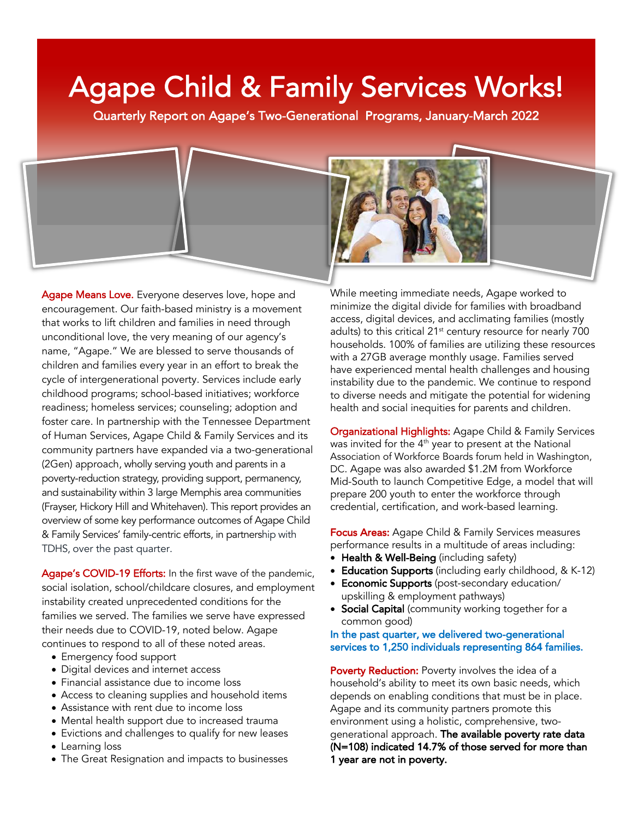# Agape Child & Family Services Works!

Quarterly Report on Agape's Two-Generational Programs, January-March 2022

Agape Means Love. Everyone deserves love, hope and encouragement. Our faith-based ministry is a movement that works to lift children and families in need through unconditional love, the very meaning of our agency's name, "Agape." We are blessed to serve thousands of children and families every year in an effort to break the cycle of intergenerational poverty. Services include early childhood programs; school-based initiatives; workforce readiness; homeless services; counseling; adoption and foster care. In partnership with the Tennessee Department of Human Services, Agape Child & Family Services and its community partners have expanded via a two-generational (2Gen) approach, wholly serving youth and parents in a poverty-reduction strategy, providing support, permanency, and sustainability within 3 large Memphis area communities (Frayser, Hickory Hill and Whitehaven). This report provides an overview of some key performance outcomes of Agape Child & Family Services' family-centric efforts, in partnership with TDHS, over the past quarter.

Agape's COVID-19 Efforts: In the first wave of the pandemic, social isolation, school/childcare closures, and employment instability created unprecedented conditions for the families we served. The families we serve have expressed their needs due to COVID-19, noted below. Agape continues to respond to all of these noted areas.

- Emergency food support
- Digital devices and internet access
- Financial assistance due to income loss
- Access to cleaning supplies and household items
- Assistance with rent due to income loss
- Mental health support due to increased trauma
- Evictions and challenges to qualify for new leases • Learning loss
- The Great Resignation and impacts to businesses

While meeting immediate needs, Agape worked to minimize the digital divide for families with broadband access, digital devices, and acclimating families (mostly adults) to this critical 21<sup>st</sup> century resource for nearly 700 households. 100% of families are utilizing these resources with a 27GB average monthly usage. Families served have experienced mental health challenges and housing instability due to the pandemic. We continue to respond to diverse needs and mitigate the potential for widening health and social inequities for parents and children.

Organizational Highlights: Agape Child & Family Services was invited for the 4<sup>th</sup> year to present at the National Association of Workforce Boards forum held in Washington, DC. Agape was also awarded \$1.2M from Workforce Mid-South to launch Competitive Edge, a model that will prepare 200 youth to enter the workforce through credential, certification, and work-based learning.

**Focus Areas:** Agape Child & Family Services measures performance results in a multitude of areas including:

- Health & Well-Being (including safety)
- **Education Supports** (including early childhood, & K-12)
- Economic Supports (post-secondary education/ upskilling & employment pathways)
- Social Capital (community working together for a common good)

#### In the past quarter, we delivered two-generational services to 1,250 individuals representing 864 families.

Poverty Reduction: Poverty involves the idea of a household's ability to meet its own basic needs, which depends on enabling conditions that must be in place. Agape and its community partners promote this environment using a holistic, comprehensive, twogenerational approach. The available poverty rate data (N=108) indicated 14.7% of those served for more than 1 year are not in poverty.